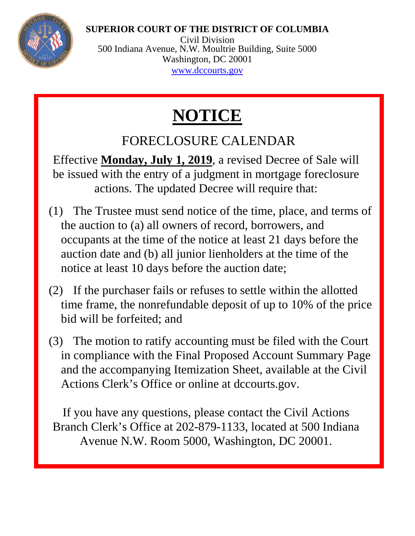## **SUPERIOR COURT OF THE DISTRICT OF COLUMBIA**



Civil Division 500 Indiana Avenue, N.W. Moultrie Building, Suite 5000 Washington, DC 20001 [www.dccourts.gov](http://www.dccourts.gov/)

## **NOTICE**

## FORECLOSURE CALENDAR

Effective **Monday, July 1, 2019**, a revised Decree of Sale will be issued with the entry of a judgment in mortgage foreclosure actions. The updated Decree will require that:

- (1) The Trustee must send notice of the time, place, and terms of the auction to (a) all owners of record, borrowers, and occupants at the time of the notice at least 21 days before the auction date and (b) all junior lienholders at the time of the notice at least 10 days before the auction date;
- (2) If the purchaser fails or refuses to settle within the allotted time frame, the nonrefundable deposit of up to 10% of the price bid will be forfeited; and
- (3) The motion to ratify accounting must be filed with the Court in compliance with the Final Proposed Account Summary Page and the accompanying Itemization Sheet, available at the Civil Actions Clerk's Office or online at dccourts.gov.

If you have any questions, please contact the Civil Actions Branch Clerk's Office at 202-879-1133, located at 500 Indiana Avenue N.W. Room 5000, Washington, DC 20001.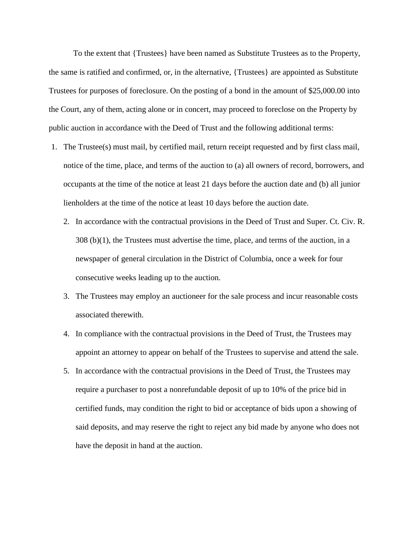To the extent that {Trustees} have been named as Substitute Trustees as to the Property, the same is ratified and confirmed, or, in the alternative, {Trustees} are appointed as Substitute Trustees for purposes of foreclosure. On the posting of a bond in the amount of \$25,000.00 into the Court, any of them, acting alone or in concert, may proceed to foreclose on the Property by public auction in accordance with the Deed of Trust and the following additional terms:

- 1. The Trustee(s) must mail, by certified mail, return receipt requested and by first class mail, notice of the time, place, and terms of the auction to (a) all owners of record, borrowers, and occupants at the time of the notice at least 21 days before the auction date and (b) all junior lienholders at the time of the notice at least 10 days before the auction date.
	- 2. In accordance with the contractual provisions in the Deed of Trust and Super. Ct. Civ. R. 308 (b)(1), the Trustees must advertise the time, place, and terms of the auction, in a newspaper of general circulation in the District of Columbia, once a week for four consecutive weeks leading up to the auction.
	- 3. The Trustees may employ an auctioneer for the sale process and incur reasonable costs associated therewith.
	- 4. In compliance with the contractual provisions in the Deed of Trust, the Trustees may appoint an attorney to appear on behalf of the Trustees to supervise and attend the sale.
	- 5. In accordance with the contractual provisions in the Deed of Trust, the Trustees may require a purchaser to post a nonrefundable deposit of up to 10% of the price bid in certified funds, may condition the right to bid or acceptance of bids upon a showing of said deposits, and may reserve the right to reject any bid made by anyone who does not have the deposit in hand at the auction.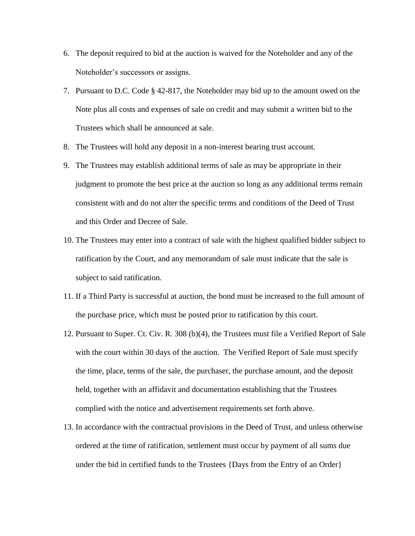- 6. The deposit required to bid at the auction is waived for the Noteholder and any of the Noteholder's successors or assigns.
- 7. Pursuant to D.C. Code § 42-817, the Noteholder may bid up to the amount owed on the Note plus all costs and expenses of sale on credit and may submit a written bid to the Trustees which shall be announced at sale.
- 8. The Trustees will hold any deposit in a non-interest bearing trust account.
- 9. The Trustees may establish additional terms of sale as may be appropriate in their judgment to promote the best price at the auction so long as any additional terms remain consistent with and do not alter the specific terms and conditions of the Deed of Trust and this Order and Decree of Sale.
- 10. The Trustees may enter into a contract of sale with the highest qualified bidder subject to ratification by the Court, and any memorandum of sale must indicate that the sale is subject to said ratification.
- 11. If a Third Party is successful at auction, the bond must be increased to the full amount of the purchase price, which must be posted prior to ratification by this court.
- 12. Pursuant to Super. Ct. Civ. R. 308 (b)(4), the Trustees must file a Verified Report of Sale with the court within 30 days of the auction. The Verified Report of Sale must specify the time, place, terms of the sale, the purchaser, the purchase amount, and the deposit held, together with an affidavit and documentation establishing that the Trustees complied with the notice and advertisement requirements set forth above.
- 13. In accordance with the contractual provisions in the Deed of Trust, and unless otherwise ordered at the time of ratification, settlement must occur by payment of all sums due under the bid in certified funds to the Trustees {Days from the Entry of an Order}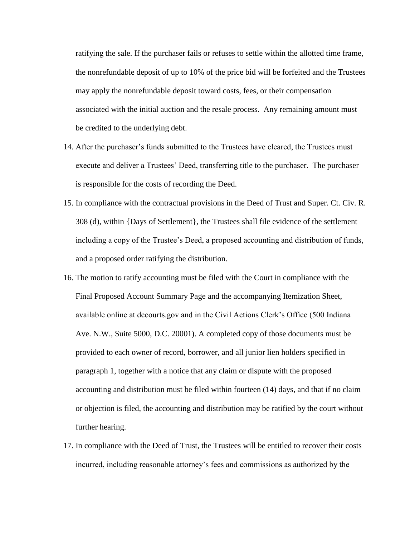ratifying the sale. If the purchaser fails or refuses to settle within the allotted time frame, the nonrefundable deposit of up to 10% of the price bid will be forfeited and the Trustees may apply the nonrefundable deposit toward costs, fees, or their compensation associated with the initial auction and the resale process. Any remaining amount must be credited to the underlying debt.

- 14. After the purchaser's funds submitted to the Trustees have cleared, the Trustees must execute and deliver a Trustees' Deed, transferring title to the purchaser. The purchaser is responsible for the costs of recording the Deed.
- 15. In compliance with the contractual provisions in the Deed of Trust and Super. Ct. Civ. R. 308 (d), within {Days of Settlement}, the Trustees shall file evidence of the settlement including a copy of the Trustee's Deed, a proposed accounting and distribution of funds, and a proposed order ratifying the distribution.
- 16. The motion to ratify accounting must be filed with the Court in compliance with the Final Proposed Account Summary Page and the accompanying Itemization Sheet, available online at dccourts.gov and in the Civil Actions Clerk's Office (500 Indiana Ave. N.W., Suite 5000, D.C. 20001). A completed copy of those documents must be provided to each owner of record, borrower, and all junior lien holders specified in paragraph 1, together with a notice that any claim or dispute with the proposed accounting and distribution must be filed within fourteen (14) days, and that if no claim or objection is filed, the accounting and distribution may be ratified by the court without further hearing.
- 17. In compliance with the Deed of Trust, the Trustees will be entitled to recover their costs incurred, including reasonable attorney's fees and commissions as authorized by the